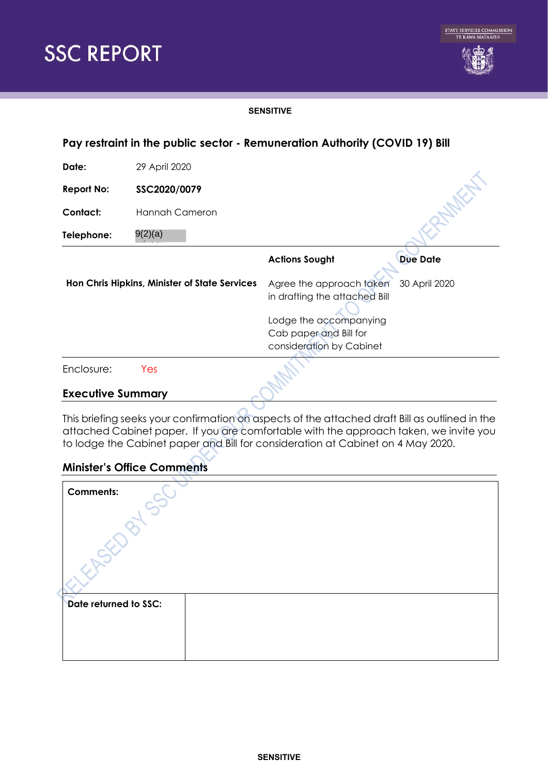



#### **SENSITIVE**

| Pay restraint in the public sector - Remuneration Authority (COVID 19) Bill |                |                                                                                                                                           |                 |
|-----------------------------------------------------------------------------|----------------|-------------------------------------------------------------------------------------------------------------------------------------------|-----------------|
| Date:                                                                       | 29 April 2020  |                                                                                                                                           |                 |
| <b>Report No:</b>                                                           | SSC2020/0079   |                                                                                                                                           |                 |
| Contact:                                                                    | Hannah Cameron |                                                                                                                                           |                 |
| Telephone:                                                                  | 9(2)(a)        |                                                                                                                                           |                 |
|                                                                             |                | <b>Actions Sought</b>                                                                                                                     | <b>Due Date</b> |
| Hon Chris Hipkins, Minister of State Services                               |                | Agree the approach taken<br>in drafting the attached Bill<br>Lodge the accompanying<br>Cab paper and Bill for<br>consideration by Cabinet | 30 April 2020   |
| Enclosure:                                                                  | Yes            |                                                                                                                                           |                 |

#### **Executive Summary**

This briefing seeks your confirmation on aspects of the attached draft Bill as outlined in the attached Cabinet paper. If you are comfortable with the approach taken, we invite you to lodge the Cabinet paper and Bill for consideration at Cabinet on 4 May 2020.

# **Minister's Office Comments**

| <b>Comments:</b>      |  |  |  |  |
|-----------------------|--|--|--|--|
|                       |  |  |  |  |
|                       |  |  |  |  |
|                       |  |  |  |  |
| Date returned to SSC: |  |  |  |  |
|                       |  |  |  |  |
|                       |  |  |  |  |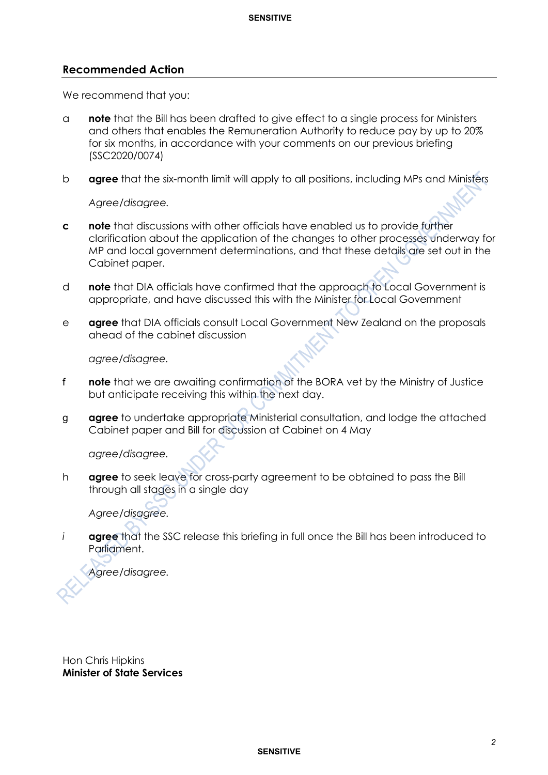#### **Recommended Action**

We recommend that you:

- a **note** that the Bill has been drafted to give effect to a single process for Ministers and others that enables the Remuneration Authority to reduce pay by up to 20% for six months, in accordance with your comments on our previous briefing (SSC2020/0074)
- b **agree** that the six-month limit will apply to all positions, including MPs and Ministers

*Agree/disagree.*

- **c note** that discussions with other officials have enabled us to provide further clarification about the application of the changes to other processes underway for MP and local government determinations, and that these details are set out in the Cabinet paper.
- d **note** that DIA officials have confirmed that the approach to Local Government is appropriate, and have discussed this with the Minister for Local Government
- e **agree** that DIA officials consult Local Government New Zealand on the proposals ahead of the cabinet discussion

*agree/disagree.*

- f **note** that we are awaiting confirmation of the BORA vet by the Ministry of Justice but anticipate receiving this within the next day.
- g **agree** to undertake appropriate Ministerial consultation, and lodge the attached Cabinet paper and Bill for discussion at Cabinet on 4 May

*agree/disagree.*

h **agree** to seek leave for cross-party agreement to be obtained to pass the Bill through all stages in a single day

*Agree/disagree.*

*i* **agree** that the SSC release this briefing in full once the Bill has been introduced to Parliament.

*Agree/disagree.*

Hon Chris Hipkins **Minister of State Services**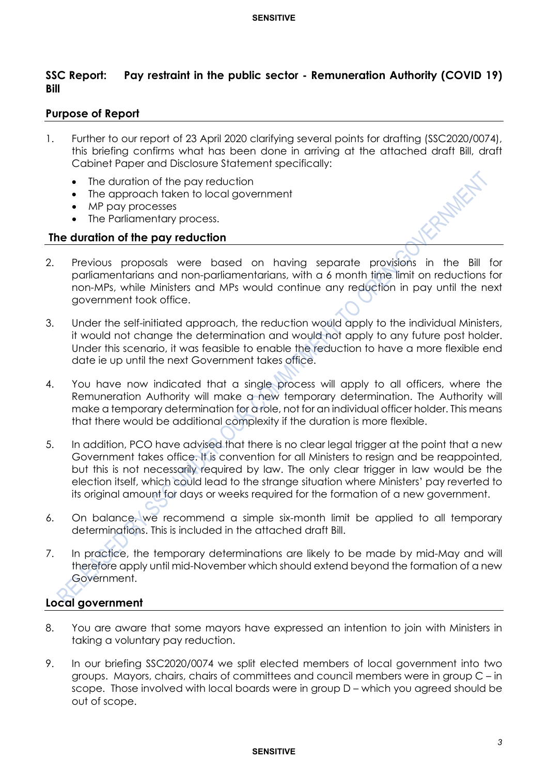# **SSC Report: Pay restraint in the public sector - Remuneration Authority (COVID 19) Bill**

## **Purpose of Report**

- 1. Further to our report of 23 April 2020 clarifying several points for drafting (SSC2020/0074), this briefing confirms what has been done in arriving at the attached draft Bill, draft Cabinet Paper and Disclosure Statement specifically:
	- The duration of the pay reduction
	- The approach taken to local government
	- MP pay processes
	- The Parliamentary process.

## **The duration of the pay reduction**

- 2. Previous proposals were based on having separate provisions in the Bill for parliamentarians and non-parliamentarians, with a 6 month time limit on reductions for non-MPs, while Ministers and MPs would continue any reduction in pay until the next government took office.
- 3. Under the self-initiated approach, the reduction would apply to the individual Ministers, it would not change the determination and would not apply to any future post holder. Under this scenario, it was feasible to enable the reduction to have a more flexible end date ie up until the next Government takes office.
- 4. You have now indicated that a single process will apply to all officers, where the Remuneration Authority will make a new temporary determination. The Authority will make a temporary determination for a role, not for an individual officer holder. This means that there would be additional complexity if the duration is more flexible.
- 5. In addition, PCO have advised that there is no clear legal trigger at the point that a new Government takes office. It is convention for all Ministers to resign and be reappointed, but this is not necessarily required by law. The only clear trigger in law would be the election itself, which could lead to the strange situation where Ministers' pay reverted to its original amount for days or weeks required for the formation of a new government.
- 6. On balance, we recommend a simple six-month limit be applied to all temporary determinations. This is included in the attached draft Bill.
- 7. In practice, the temporary determinations are likely to be made by mid-May and will therefore apply until mid-November which should extend beyond the formation of a new Government.

# **Local government**

- 8. You are aware that some mayors have expressed an intention to join with Ministers in taking a voluntary pay reduction.
- 9. In our briefing SSC2020/0074 we split elected members of local government into two groups. Mayors, chairs, chairs of committees and council members were in group C – in scope. Those involved with local boards were in group D – which you agreed should be out of scope.

#### **SENSITIVE**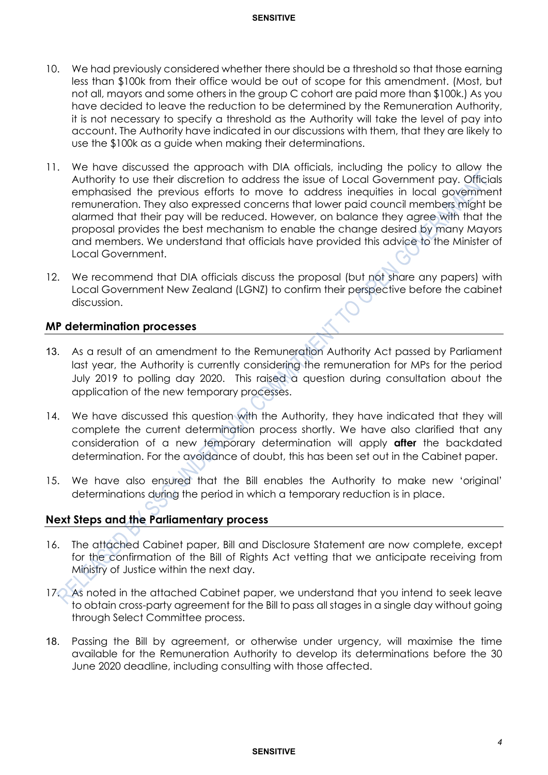- 10. We had previously considered whether there should be a threshold so that those earning less than \$100k from their office would be out of scope for this amendment. (Most, but not all, mayors and some others in the group C cohort are paid more than \$100k.) As you have decided to leave the reduction to be determined by the Remuneration Authority, it is not necessary to specify a threshold as the Authority will take the level of pay into account. The Authority have indicated in our discussions with them, that they are likely to use the \$100k as a guide when making their determinations.
- 11. We have discussed the approach with DIA officials, including the policy to allow the Authority to use their discretion to address the issue of Local Government pay. Officials emphasised the previous efforts to move to address inequities in local government remuneration. They also expressed concerns that lower paid council members might be alarmed that their pay will be reduced. However, on balance they agree with that the proposal provides the best mechanism to enable the change desired by many Mayors and members. We understand that officials have provided this advice to the Minister of Local Government.
- 12. We recommend that DIA officials discuss the proposal (but not share any papers) with Local Government New Zealand (LGNZ) to confirm their perspective before the cabinet discussion.

## **MP determination processes**

- 13. As a result of an amendment to the Remuneration Authority Act passed by Parliament last year, the Authority is currently considering the remuneration for MPs for the period July 2019 to polling day 2020. This raised a question during consultation about the application of the new temporary processes.
- 14. We have discussed this question with the Authority, they have indicated that they will complete the current determination process shortly. We have also clarified that any consideration of a new temporary determination will apply **after** the backdated determination. For the avoidance of doubt, this has been set out in the Cabinet paper.
- 15. We have also ensured that the Bill enables the Authority to make new 'original' determinations during the period in which a temporary reduction is in place.

# **Next Steps and the Parliamentary process**

- 16. The attached Cabinet paper, Bill and Disclosure Statement are now complete, except for the confirmation of the Bill of Rights Act vetting that we anticipate receiving from Ministry of Justice within the next day.
- 17. As noted in the attached Cabinet paper, we understand that you intend to seek leave to obtain cross-party agreement for the Bill to pass all stages in a single day without going through Select Committee process.
- 18. Passing the Bill by agreement, or otherwise under urgency, will maximise the time available for the Remuneration Authority to develop its determinations before the 30 June 2020 deadline, including consulting with those affected.

#### **SENSITIVE**